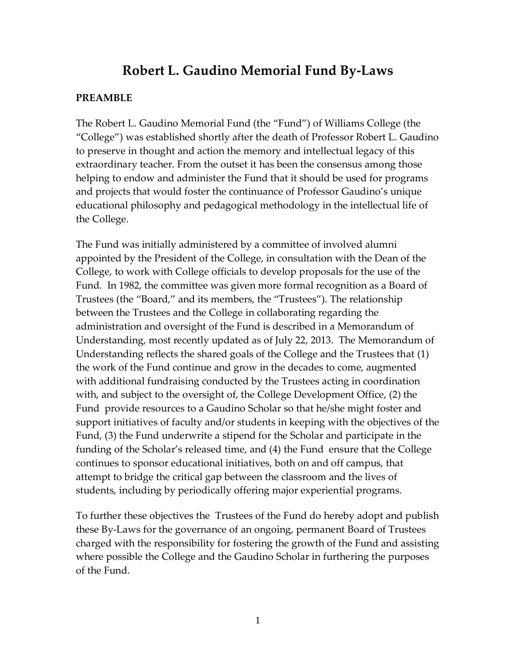# **Robert L. Gaudino Memorial Fund By-Laws**

# **PREAMBLE**

The Robert L. Gaudino Memorial Fund (the "Fund") of Williams College (the "College") was established shortly after the death of Professor Robert L. Gaudino to preserve in thought and action the memory and intellectual legacy of this extraordinary teacher. From the outset it has been the consensus among those helping to endow and administer the Fund that it should be used for programs and projects that would foster the continuance of Professor Gaudino's unique educational philosophy and pedagogical methodology in the intellectual life of the College.

The Fund was initially administered by a committee of involved alumni appointed by the President of the College, in consultation with the Dean of the College, to work with College officials to develop proposals for the use of the Fund. In 1982, the committee was given more formal recognition as a Board of Trustees (the "Board," and its members, the "Trustees"). The relationship between the Trustees and the College in collaborating regarding the administration and oversight of the Fund is described in a Memorandum of Understanding, most recently updated as of July 22, 2013. The Memorandum of Understanding reflects the shared goals of the College and the Trustees that (1) the work of the Fund continue and grow in the decades to come, augmented with additional fundraising conducted by the Trustees acting in coordination with, and subject to the oversight of, the College Development Office, (2) the Fund provide resources to a Gaudino Scholar so that he/she might foster and support initiatives of faculty and/or students in keeping with the objectives of the Fund, (3) the Fund underwrite a stipend for the Scholar and participate in the funding of the Scholar's released time, and (4) the Fund ensure that the College continues to sponsor educational initiatives, both on and off campus, that attempt to bridge the critical gap between the classroom and the lives of students, including by periodically offering major experiential programs.

To further these objectives the Trustees of the Fund do hereby adopt and publish these By-Laws for the governance of an ongoing, permanent Board of Trustees charged with the responsibility for fostering the growth of the Fund and assisting where possible the College and the Gaudino Scholar in furthering the purposes of the Fund.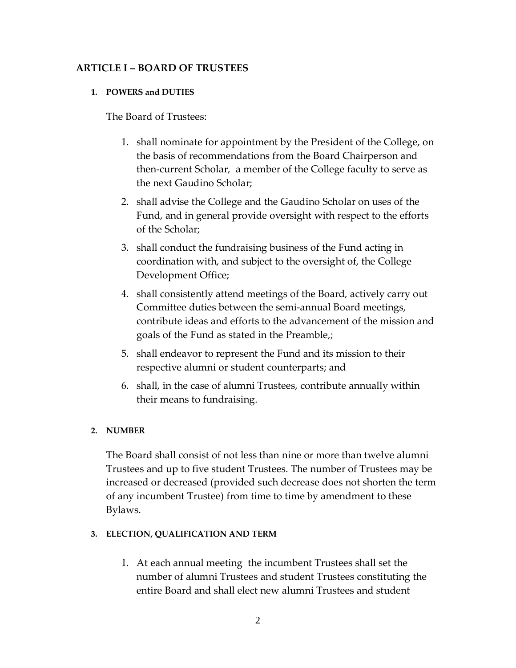# **ARTICLE I – BOARD OF TRUSTEES**

# **1. POWERS and DUTIES**

The Board of Trustees:

- 1. shall nominate for appointment by the President of the College, on the basis of recommendations from the Board Chairperson and then-current Scholar, a member of the College faculty to serve as the next Gaudino Scholar;
- 2. shall advise the College and the Gaudino Scholar on uses of the Fund, and in general provide oversight with respect to the efforts of the Scholar;
- 3. shall conduct the fundraising business of the Fund acting in coordination with, and subject to the oversight of, the College Development Office;
- 4. shall consistently attend meetings of the Board, actively carry out Committee duties between the semi-annual Board meetings, contribute ideas and efforts to the advancement of the mission and goals of the Fund as stated in the Preamble,;
- 5. shall endeavor to represent the Fund and its mission to their respective alumni or student counterparts; and
- 6. shall, in the case of alumni Trustees, contribute annually within their means to fundraising.

# **2. NUMBER**

The Board shall consist of not less than nine or more than twelve alumni Trustees and up to five student Trustees. The number of Trustees may be increased or decreased (provided such decrease does not shorten the term of any incumbent Trustee) from time to time by amendment to these Bylaws.

# **3. ELECTION, QUALIFICATION AND TERM**

1. At each annual meeting the incumbent Trustees shall set the number of alumni Trustees and student Trustees constituting the entire Board and shall elect new alumni Trustees and student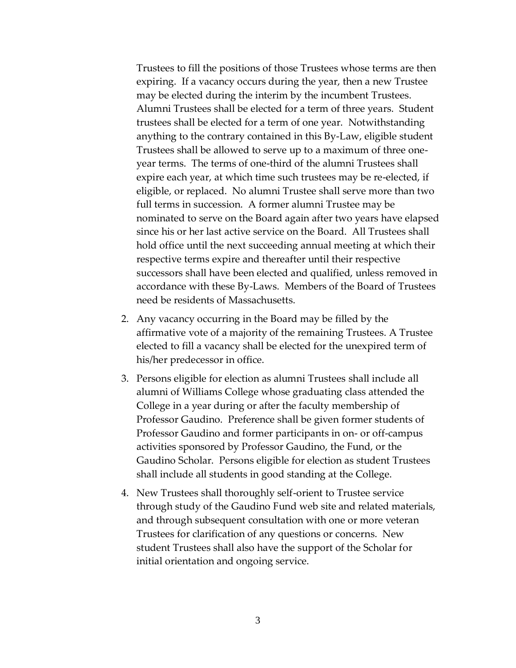Trustees to fill the positions of those Trustees whose terms are then expiring. If a vacancy occurs during the year, then a new Trustee may be elected during the interim by the incumbent Trustees. Alumni Trustees shall be elected for a term of three years. Student trustees shall be elected for a term of one year. Notwithstanding anything to the contrary contained in this By-Law, eligible student Trustees shall be allowed to serve up to a maximum of three oneyear terms. The terms of one-third of the alumni Trustees shall expire each year, at which time such trustees may be re-elected, if eligible, or replaced. No alumni Trustee shall serve more than two full terms in succession. A former alumni Trustee may be nominated to serve on the Board again after two years have elapsed since his or her last active service on the Board. All Trustees shall hold office until the next succeeding annual meeting at which their respective terms expire and thereafter until their respective successors shall have been elected and qualified, unless removed in accordance with these By-Laws. Members of the Board of Trustees need be residents of Massachusetts.

- 2. Any vacancy occurring in the Board may be filled by the affirmative vote of a majority of the remaining Trustees. A Trustee elected to fill a vacancy shall be elected for the unexpired term of his/her predecessor in office.
- 3. Persons eligible for election as alumni Trustees shall include all alumni of Williams College whose graduating class attended the College in a year during or after the faculty membership of Professor Gaudino. Preference shall be given former students of Professor Gaudino and former participants in on- or off-campus activities sponsored by Professor Gaudino, the Fund, or the Gaudino Scholar. Persons eligible for election as student Trustees shall include all students in good standing at the College.
- 4. New Trustees shall thoroughly self-orient to Trustee service through study of the Gaudino Fund web site and related materials, and through subsequent consultation with one or more veteran Trustees for clarification of any questions or concerns. New student Trustees shall also have the support of the Scholar for initial orientation and ongoing service.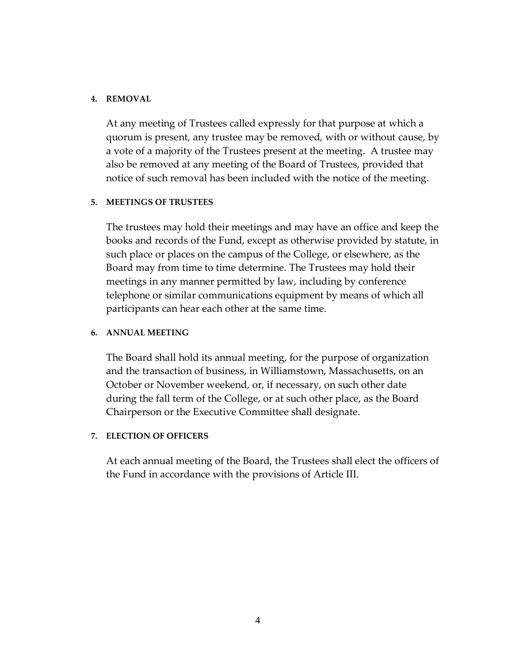### **4. REMOVAL**

At any meeting of Trustees called expressly for that purpose at which a quorum is present, any trustee may be removed, with or without cause, by a vote of a majority of the Trustees present at the meeting. A trustee may also be removed at any meeting of the Board of Trustees, provided that notice of such removal has been included with the notice of the meeting.

### **5. MEETINGS OF TRUSTEES**

The trustees may hold their meetings and may have an office and keep the books and records of the Fund, except as otherwise provided by statute, in such place or places on the campus of the College, or elsewhere, as the Board may from time to time determine. The Trustees may hold their meetings in any manner permitted by law, including by conference telephone or similar communications equipment by means of which all participants can hear each other at the same time.

### **6. ANNUAL MEETING**

The Board shall hold its annual meeting, for the purpose of organization and the transaction of business, in Williamstown, Massachusetts, on an October or November weekend, or, if necessary, on such other date during the fall term of the College, or at such other place, as the Board Chairperson or the Executive Committee shall designate.

# **7. ELECTION OF OFFICERS**

At each annual meeting of the Board, the Trustees shall elect the officers of the Fund in accordance with the provisions of Article III.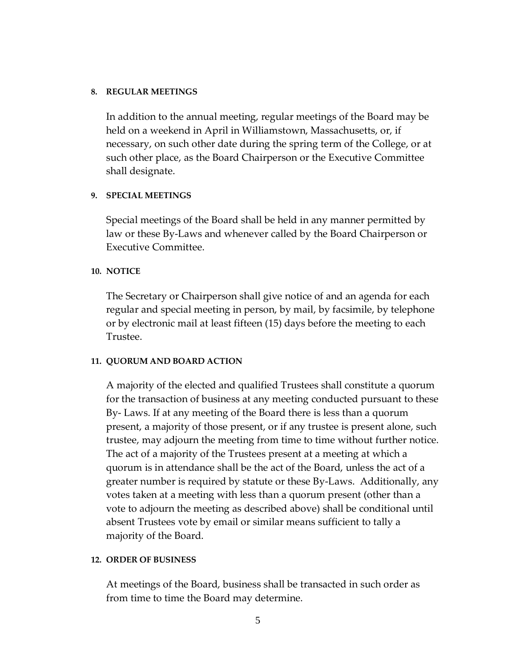### **8. REGULAR MEETINGS**

In addition to the annual meeting, regular meetings of the Board may be held on a weekend in April in Williamstown, Massachusetts, or, if necessary, on such other date during the spring term of the College, or at such other place, as the Board Chairperson or the Executive Committee shall designate.

# **9. SPECIAL MEETINGS**

Special meetings of the Board shall be held in any manner permitted by law or these By-Laws and whenever called by the Board Chairperson or Executive Committee.

### **10. NOTICE**

The Secretary or Chairperson shall give notice of and an agenda for each regular and special meeting in person, by mail, by facsimile, by telephone or by electronic mail at least fifteen (15) days before the meeting to each Trustee.

#### **11. QUORUM AND BOARD ACTION**

A majority of the elected and qualified Trustees shall constitute a quorum for the transaction of business at any meeting conducted pursuant to these By- Laws. If at any meeting of the Board there is less than a quorum present, a majority of those present, or if any trustee is present alone, such trustee, may adjourn the meeting from time to time without further notice. The act of a majority of the Trustees present at a meeting at which a quorum is in attendance shall be the act of the Board, unless the act of a greater number is required by statute or these By-Laws. Additionally, any votes taken at a meeting with less than a quorum present (other than a vote to adjourn the meeting as described above) shall be conditional until absent Trustees vote by email or similar means sufficient to tally a majority of the Board.

#### **12. ORDER OF BUSINESS**

At meetings of the Board, business shall be transacted in such order as from time to time the Board may determine.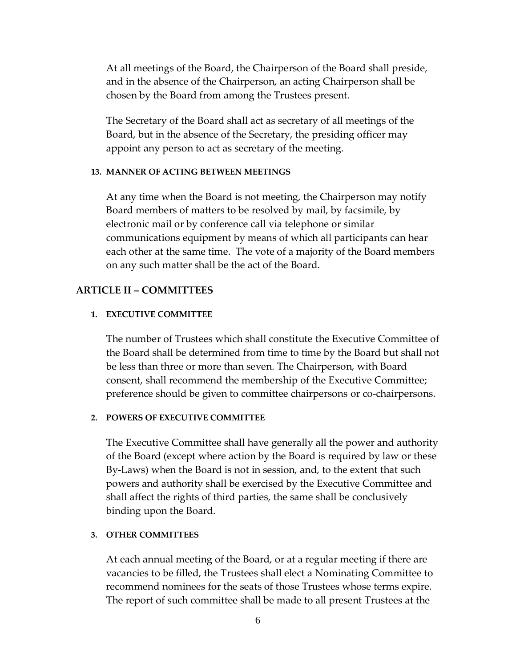At all meetings of the Board, the Chairperson of the Board shall preside, and in the absence of the Chairperson, an acting Chairperson shall be chosen by the Board from among the Trustees present.

The Secretary of the Board shall act as secretary of all meetings of the Board, but in the absence of the Secretary, the presiding officer may appoint any person to act as secretary of the meeting.

#### **13. MANNER OF ACTING BETWEEN MEETINGS**

At any time when the Board is not meeting, the Chairperson may notify Board members of matters to be resolved by mail, by facsimile, by electronic mail or by conference call via telephone or similar communications equipment by means of which all participants can hear each other at the same time. The vote of a majority of the Board members on any such matter shall be the act of the Board.

# **ARTICLE II – COMMITTEES**

#### **1. EXECUTIVE COMMITTEE**

The number of Trustees which shall constitute the Executive Committee of the Board shall be determined from time to time by the Board but shall not be less than three or more than seven. The Chairperson, with Board consent, shall recommend the membership of the Executive Committee; preference should be given to committee chairpersons or co-chairpersons.

### **2. POWERS OF EXECUTIVE COMMITTEE**

The Executive Committee shall have generally all the power and authority of the Board (except where action by the Board is required by law or these By-Laws) when the Board is not in session, and, to the extent that such powers and authority shall be exercised by the Executive Committee and shall affect the rights of third parties, the same shall be conclusively binding upon the Board.

#### **3. OTHER COMMITTEES**

At each annual meeting of the Board, or at a regular meeting if there are vacancies to be filled, the Trustees shall elect a Nominating Committee to recommend nominees for the seats of those Trustees whose terms expire. The report of such committee shall be made to all present Trustees at the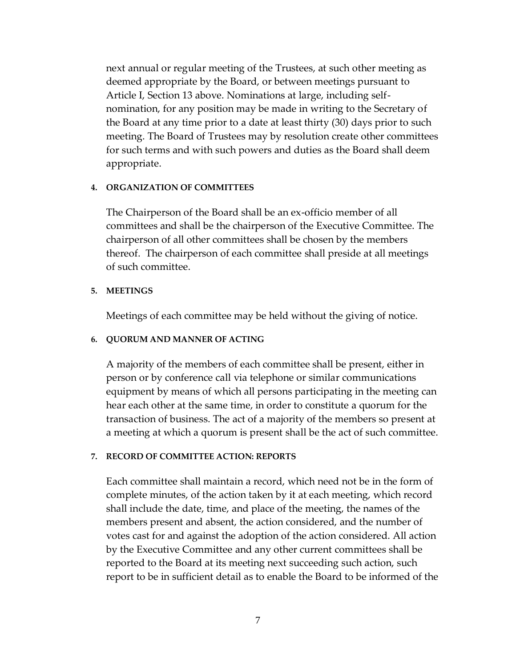next annual or regular meeting of the Trustees, at such other meeting as deemed appropriate by the Board, or between meetings pursuant to Article I, Section 13 above. Nominations at large, including selfnomination, for any position may be made in writing to the Secretary of the Board at any time prior to a date at least thirty (30) days prior to such meeting. The Board of Trustees may by resolution create other committees for such terms and with such powers and duties as the Board shall deem appropriate.

#### **4. ORGANIZATION OF COMMITTEES**

The Chairperson of the Board shall be an ex-officio member of all committees and shall be the chairperson of the Executive Committee. The chairperson of all other committees shall be chosen by the members thereof. The chairperson of each committee shall preside at all meetings of such committee.

#### **5. MEETINGS**

Meetings of each committee may be held without the giving of notice.

#### **6. QUORUM AND MANNER OF ACTING**

A majority of the members of each committee shall be present, either in person or by conference call via telephone or similar communications equipment by means of which all persons participating in the meeting can hear each other at the same time, in order to constitute a quorum for the transaction of business. The act of a majority of the members so present at a meeting at which a quorum is present shall be the act of such committee.

#### **7. RECORD OF COMMITTEE ACTION: REPORTS**

Each committee shall maintain a record, which need not be in the form of complete minutes, of the action taken by it at each meeting, which record shall include the date, time, and place of the meeting, the names of the members present and absent, the action considered, and the number of votes cast for and against the adoption of the action considered. All action by the Executive Committee and any other current committees shall be reported to the Board at its meeting next succeeding such action, such report to be in sufficient detail as to enable the Board to be informed of the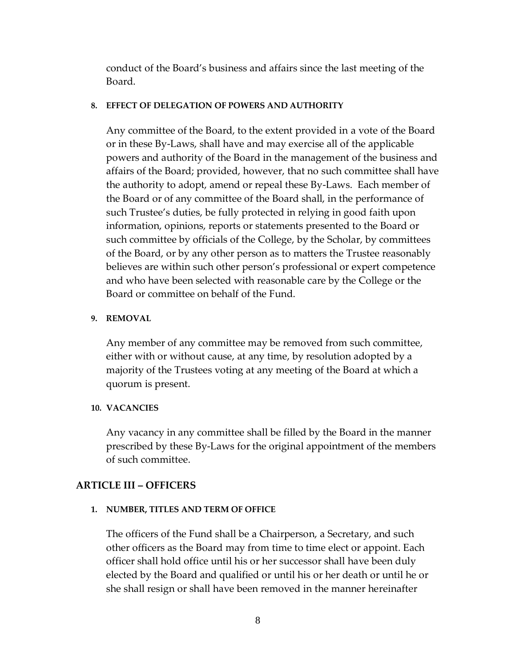conduct of the Board's business and affairs since the last meeting of the Board.

### **8. EFFECT OF DELEGATION OF POWERS AND AUTHORITY**

Any committee of the Board, to the extent provided in a vote of the Board or in these By-Laws, shall have and may exercise all of the applicable powers and authority of the Board in the management of the business and affairs of the Board; provided, however, that no such committee shall have the authority to adopt, amend or repeal these By-Laws. Each member of the Board or of any committee of the Board shall, in the performance of such Trustee's duties, be fully protected in relying in good faith upon information, opinions, reports or statements presented to the Board or such committee by officials of the College, by the Scholar, by committees of the Board, or by any other person as to matters the Trustee reasonably believes are within such other person's professional or expert competence and who have been selected with reasonable care by the College or the Board or committee on behalf of the Fund.

### **9. REMOVAL**

Any member of any committee may be removed from such committee, either with or without cause, at any time, by resolution adopted by a majority of the Trustees voting at any meeting of the Board at which a quorum is present.

# **10. VACANCIES**

Any vacancy in any committee shall be filled by the Board in the manner prescribed by these By-Laws for the original appointment of the members of such committee.

# **ARTICLE III – OFFICERS**

# **1. NUMBER, TITLES AND TERM OF OFFICE**

The officers of the Fund shall be a Chairperson, a Secretary, and such other officers as the Board may from time to time elect or appoint. Each officer shall hold office until his or her successor shall have been duly elected by the Board and qualified or until his or her death or until he or she shall resign or shall have been removed in the manner hereinafter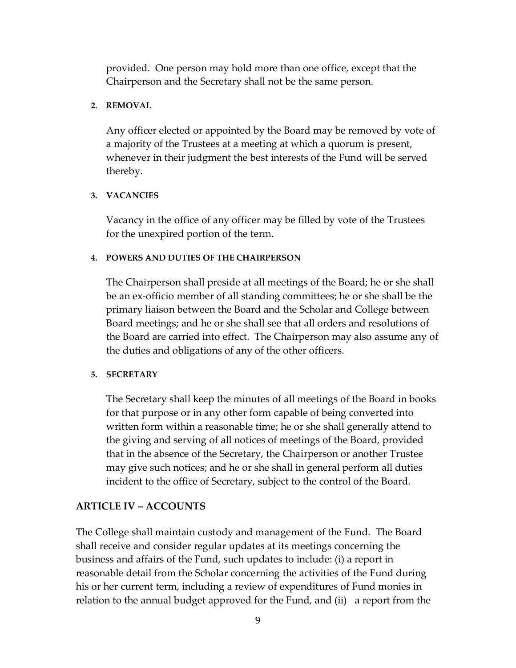provided. One person may hold more than one office, except that the Chairperson and the Secretary shall not be the same person.

# **2. REMOVAL**

Any officer elected or appointed by the Board may be removed by vote of a majority of the Trustees at a meeting at which a quorum is present, whenever in their judgment the best interests of the Fund will be served thereby.

# **3. VACANCIES**

Vacancy in the office of any officer may be filled by vote of the Trustees for the unexpired portion of the term.

# **4. POWERS AND DUTIES OF THE CHAIRPERSON**

The Chairperson shall preside at all meetings of the Board; he or she shall be an ex-officio member of all standing committees; he or she shall be the primary liaison between the Board and the Scholar and College between Board meetings; and he or she shall see that all orders and resolutions of the Board are carried into effect. The Chairperson may also assume any of the duties and obligations of any of the other officers.

# **5. SECRETARY**

The Secretary shall keep the minutes of all meetings of the Board in books for that purpose or in any other form capable of being converted into written form within a reasonable time; he or she shall generally attend to the giving and serving of all notices of meetings of the Board, provided that in the absence of the Secretary, the Chairperson or another Trustee may give such notices; and he or she shall in general perform all duties incident to the office of Secretary, subject to the control of the Board.

# **ARTICLE IV – ACCOUNTS**

The College shall maintain custody and management of the Fund. The Board shall receive and consider regular updates at its meetings concerning the business and affairs of the Fund, such updates to include: (i) a report in reasonable detail from the Scholar concerning the activities of the Fund during his or her current term, including a review of expenditures of Fund monies in relation to the annual budget approved for the Fund, and (ii) a report from the